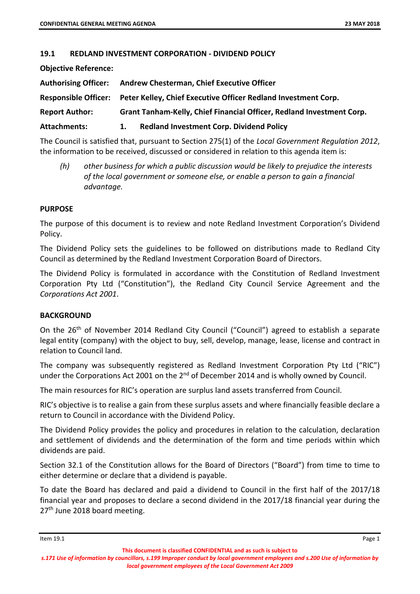## **19.1 REDLAND INVESTMENT CORPORATION ‐ DIVIDEND POLICY**

**Objective Reference:** 

| <b>Authorising Officer:</b> |                                                                       | <b>Andrew Chesterman, Chief Executive Officer</b>                                   |  |  |  |
|-----------------------------|-----------------------------------------------------------------------|-------------------------------------------------------------------------------------|--|--|--|
|                             |                                                                       | Responsible Officer: Peter Kelley, Chief Executive Officer Redland Investment Corp. |  |  |  |
| <b>Report Author:</b>       | Grant Tanham-Kelly, Chief Financial Officer, Redland Investment Corp. |                                                                                     |  |  |  |
| <b>Attachments:</b>         | 1.                                                                    | <b>Redland Investment Corp. Dividend Policy</b>                                     |  |  |  |

The Council is satisfied that, pursuant to Section 275(1) of the *Local Government Regulation 2012*, the information to be received, discussed or considered in relation to this agenda item is:

*(h) other business for which a public discussion would be likely to prejudice the interests of the local government or someone else, or enable a person to gain a financial advantage.*

#### **PURPOSE**

The purpose of this document is to review and note Redland Investment Corporation's Dividend Policy.

The Dividend Policy sets the guidelines to be followed on distributions made to Redland City Council as determined by the Redland Investment Corporation Board of Directors.

The Dividend Policy is formulated in accordance with the Constitution of Redland Investment Corporation Pty Ltd ("Constitution"), the Redland City Council Service Agreement and the *Corporations Act 2001*.

## **BACKGROUND**

On the 26th of November 2014 Redland City Council ("Council") agreed to establish a separate legal entity (company) with the object to buy, sell, develop, manage, lease, license and contract in relation to Council land.

The company was subsequently registered as Redland Investment Corporation Pty Ltd ("RIC") under the Corporations Act 2001 on the  $2<sup>nd</sup>$  of December 2014 and is wholly owned by Council.

The main resources for RIC's operation are surplus land assets transferred from Council.

RIC's objective is to realise a gain from these surplus assets and where financially feasible declare a return to Council in accordance with the Dividend Policy.

The Dividend Policy provides the policy and procedures in relation to the calculation, declaration and settlement of dividends and the determination of the form and time periods within which dividends are paid.

Section 32.1 of the Constitution allows for the Board of Directors ("Board") from time to time to either determine or declare that a dividend is payable.

To date the Board has declared and paid a dividend to Council in the first half of the 2017/18 financial year and proposes to declare a second dividend in the 2017/18 financial year during the 27<sup>th</sup> June 2018 board meeting.

s.171 Use of information by councillors, s.199 Improper conduct by local government employees and s.200 Use of information by *local government employees of the Local Government Act 2009*

**This document is classified CONFIDENTIAL and as such is subject to**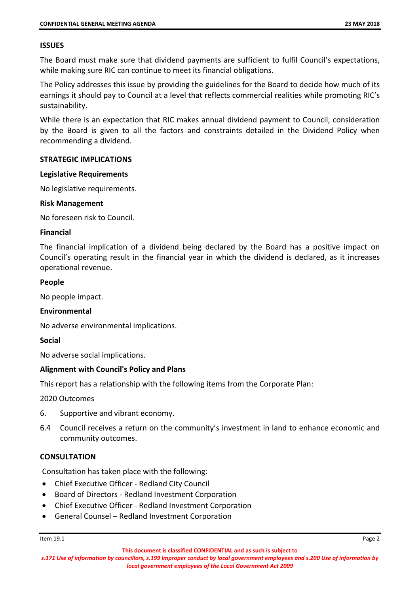## **ISSUES**

The Board must make sure that dividend payments are sufficient to fulfil Council's expectations, while making sure RIC can continue to meet its financial obligations.

The Policy addresses this issue by providing the guidelines for the Board to decide how much of its earnings it should pay to Council at a level that reflects commercial realities while promoting RIC's sustainability.

While there is an expectation that RIC makes annual dividend payment to Council, consideration by the Board is given to all the factors and constraints detailed in the Dividend Policy when recommending a dividend.

## **STRATEGIC IMPLICATIONS**

#### **Legislative Requirements**

No legislative requirements.

#### **Risk Management**

No foreseen risk to Council.

#### **Financial**

The financial implication of a dividend being declared by the Board has a positive impact on Council's operating result in the financial year in which the dividend is declared, as it increases operational revenue.

#### **People**

No people impact.

## **Environmental**

No adverse environmental implications.

## **Social**

No adverse social implications.

## **Alignment with Council's Policy and Plans**

This report has a relationship with the following items from the Corporate Plan:

2020 Outcomes

- 6. Supportive and vibrant economy.
- 6.4 Council receives a return on the community's investment in land to enhance economic and community outcomes.

## **CONSULTATION**

Consultation has taken place with the following:

- Chief Executive Officer ‐ Redland City Council
- Board of Directors Redland Investment Corporation
- Chief Executive Officer ‐ Redland Investment Corporation
- General Counsel Redland Investment Corporation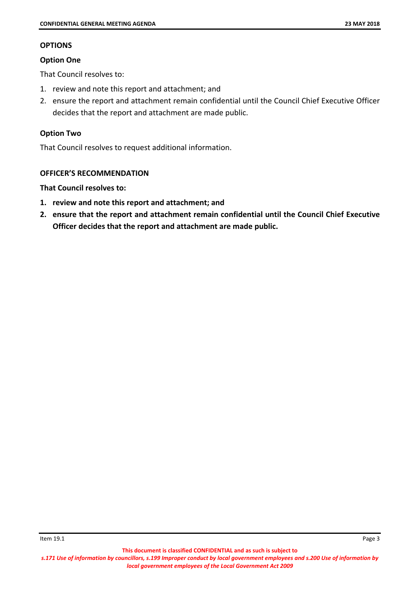# **OPTIONS**

# **Option One**

That Council resolves to:

- 1. review and note this report and attachment; and
- 2. ensure the report and attachment remain confidential until the Council Chief Executive Officer decides that the report and attachment are made public.

# **Option Two**

That Council resolves to request additional information.

# **OFFICER'S RECOMMENDATION**

# **That Council resolves to:**

- **1. review and note this report and attachment; and**
- **2. ensure that the report and attachment remain confidential until the Council Chief Executive Officer decides that the report and attachment are made public.**

s.171 Use of information by councillors, s.199 Improper conduct by local government employees and s.200 Use of information by *local government employees of the Local Government Act 2009*

**This document is classified CONFIDENTIAL and as such is subject to**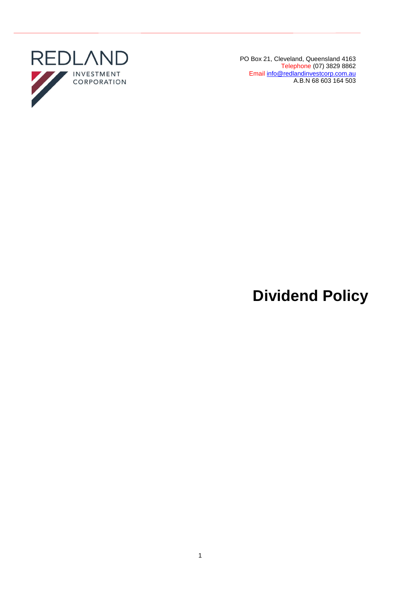

PO Box 21, Cleveland, Queensland 4163 Telephone (07) 3829 8862 Email [info@redlandinvestcorp.com.au](mailto:info@redlandinvestcorp.com.au) A.B.N 68 603 164 503

# **Dividend Policy**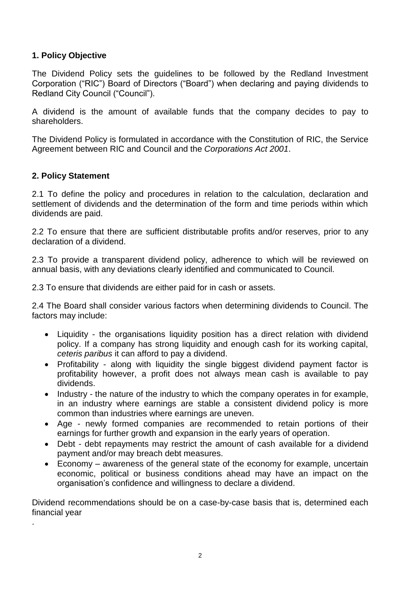# **1. Policy Objective**

The Dividend Policy sets the guidelines to be followed by the Redland Investment Corporation ("RIC") Board of Directors ("Board") when declaring and paying dividends to Redland City Council ("Council").

A dividend is the amount of available funds that the company decides to pay to shareholders.

The Dividend Policy is formulated in accordance with the Constitution of RIC, the Service Agreement between RIC and Council and the *Corporations Act 2001*.

# **2. Policy Statement**

.

2.1 To define the policy and procedures in relation to the calculation, declaration and settlement of dividends and the determination of the form and time periods within which dividends are paid.

2.2 To ensure that there are sufficient distributable profits and/or reserves, prior to any declaration of a dividend.

2.3 To provide a transparent dividend policy, adherence to which will be reviewed on annual basis, with any deviations clearly identified and communicated to Council.

2.3 To ensure that dividends are either paid for in cash or assets.

2.4 The Board shall consider various factors when determining dividends to Council. The factors may include:

- Liquidity the organisations liquidity position has a direct relation with dividend policy. If a company has strong liquidity and enough cash for its working capital, *ceteris paribus* it can afford to pay a dividend.
- Profitability along with liquidity the single biggest dividend payment factor is profitability however, a profit does not always mean cash is available to pay dividends.
- Industry the nature of the industry to which the company operates in for example, in an industry where earnings are stable a consistent dividend policy is more common than industries where earnings are uneven.
- Age newly formed companies are recommended to retain portions of their earnings for further growth and expansion in the early years of operation.
- Debt debt repayments may restrict the amount of cash available for a dividend payment and/or may breach debt measures.
- Economy awareness of the general state of the economy for example, uncertain economic, political or business conditions ahead may have an impact on the organisation's confidence and willingness to declare a dividend.

Dividend recommendations should be on a case-by-case basis that is, determined each financial year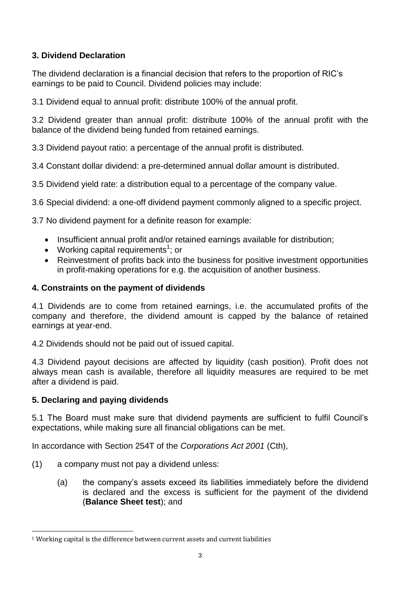# **3. Dividend Declaration**

The dividend declaration is a financial decision that refers to the proportion of RIC's earnings to be paid to Council. Dividend policies may include:

3.1 Dividend equal to annual profit: distribute 100% of the annual profit.

3.2 Dividend greater than annual profit: distribute 100% of the annual profit with the balance of the dividend being funded from retained earnings.

3.3 Dividend payout ratio: a percentage of the annual profit is distributed.

3.4 Constant dollar dividend: a pre-determined annual dollar amount is distributed.

3.5 Dividend yield rate: a distribution equal to a percentage of the company value.

3.6 Special dividend: a one-off dividend payment commonly aligned to a specific project.

3.7 No dividend payment for a definite reason for example:

- Insufficient annual profit and/or retained earnings available for distribution;
- Working capital requirements<sup>1</sup>; or
- Reinvestment of profits back into the business for positive investment opportunities in profit-making operations for e.g. the acquisition of another business.

# **4. Constraints on the payment of dividends**

4.1 Dividends are to come from retained earnings, i.e. the accumulated profits of the company and therefore, the dividend amount is capped by the balance of retained earnings at year-end.

4.2 Dividends should not be paid out of issued capital.

4.3 Dividend payout decisions are affected by liquidity (cash position). Profit does not always mean cash is available, therefore all liquidity measures are required to be met after a dividend is paid.

# **5. Declaring and paying dividends**

1

5.1 The Board must make sure that dividend payments are sufficient to fulfil Council's expectations, while making sure all financial obligations can be met.

In accordance with Section 254T of the *Corporations Act 2001* (Cth),

- (1) a company must not pay a dividend unless:
	- (a) the company's assets exceed its liabilities immediately before the dividend is declared and the excess is sufficient for the payment of the dividend (**Balance Sheet test**); and

<sup>&</sup>lt;sup>1</sup> Working capital is the difference between current assets and current liabilities